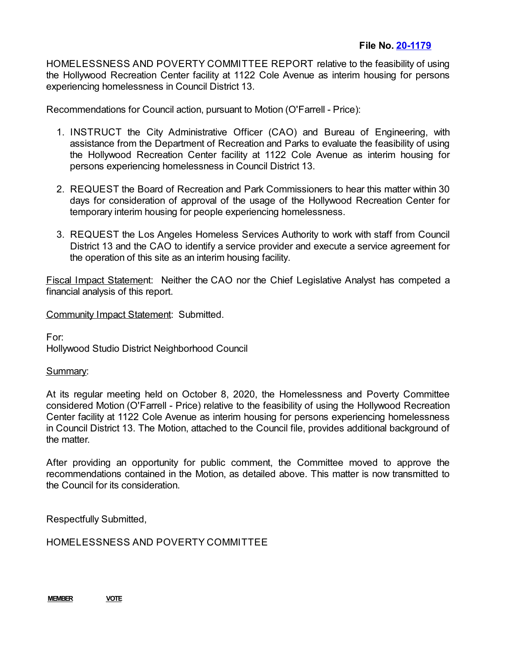HOMELESSNESS AND POVERTY COMMITTEE REPORT relative to the feasibility of using the Hollywood Recreation Center facility at 1122 Cole Avenue as interim housing for persons experiencing homelessness in Council District 13.

Recommendations for Council action, pursuant to Motion (O'Farrell - Price):

- 1. INSTRUCT the City Administrative Officer (CAO) and Bureau of Engineering, with assistance from the Department of Recreation and Parks to evaluate the feasibility of using the Hollywood Recreation Center facility at 1122 Cole Avenue as interim housing for persons experiencing homelessness in Council District 13.
- 2. REQUEST the Board of Recreation and Park Commissioners to hear this matter within 30 days for consideration of approval of the usage of the Hollywood Recreation Center for temporary interim housing for people experiencing homelessness.
- 3. REQUEST the Los Angeles Homeless Services Authority to work with staff from Council District 13 and the CAO to identify a service provider and execute a service agreement for the operation of this site as an interim housing facility.

Fiscal Impact Statement: Neither the CAO nor the Chief Legislative Analyst has competed a financial analysis of this report.

Community Impact Statement: Submitted.

For: Hollywood Studio District Neighborhood Council

## Summary:

At its regular meeting held on October 8, 2020, the Homelessness and Poverty Committee considered Motion (O'Farrell - Price) relative to the feasibility of using the Hollywood Recreation Center facility at 1122 Cole Avenue as interim housing for persons experiencing homelessness in Council District 13. The Motion, attached to the Council file, provides additional background of the matter.

After providing an opportunity for public comment, the Committee moved to approve the recommendations contained in the Motion, as detailed above. This matter is now transmitted to the Council for its consideration.

Respectfully Submitted,

HOMELESSNESS AND POVERTY COMMITTEE

**MEMBER VOTE**